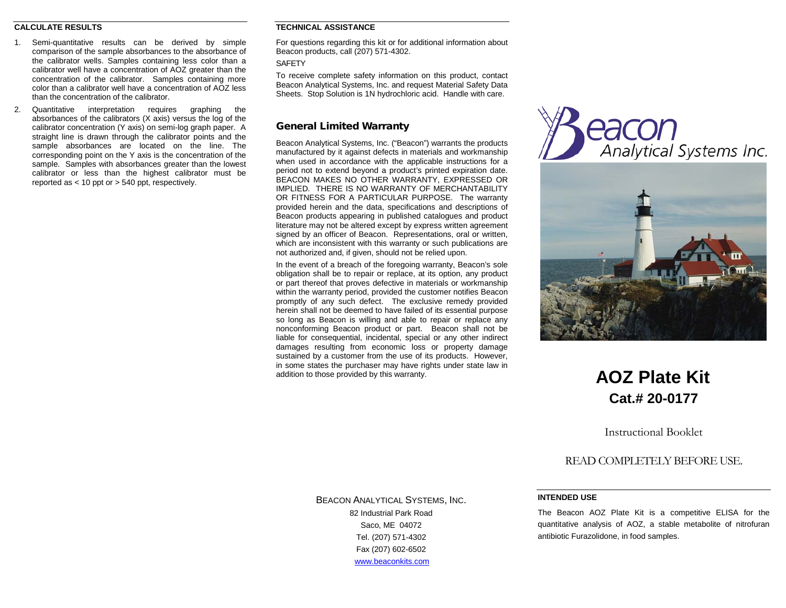## **CALCULATE RESULTS**

- 1. Semi-quantitative results can be derived by simple comparison of the sample absorbances to the absorbance of the calibrator wells. Samples containing less color than a calibrator well have a concentration of AOZ greater than the concentration of the calibrator. Samples containing more color than a calibrator well have a concentration of AOZ less than the concentration of the calibrator.
- 2. Quantitative interpretation requires graphing the absorbances of the calibrators (X axis) versus the log of the calibrator concentration (Y axis) on semi-log graph paper. A straight line is drawn through the calibrator points and the sample absorbances are located on the line. The corresponding point on the Y axis is the concentration of the sample. Samples with absorbances greater than the lowest calibrator or less than the highest calibrator must be reported as < 10 ppt or > 540 ppt, respectively.

## **TECHNICAL ASSISTANCE**

For questions regarding this kit or for additional information about Beacon products, call (207) 571-4302.

**SAFFTY** 

To receive complete safety information on this product, contact Beacon Analytical Systems, Inc. and request Material Safety Data Sheets. Stop Solution is 1N hydrochloric acid. Handle with care.

## General Limited Warranty

Beacon Analytical Systems, Inc. ("Beacon") warrants the products manufactured by it against defects in materials and workmanship when used in accordance with the applicable instructions for a period not to extend beyond a product's printed expiration date. BEACON MAKES NO OTHER WARRANTY, EXPRESSED OR IMPLIED. THERE IS NO WARRANTY OF MERCHANTABILITY OR FITNESS FOR A PARTICULAR PURPOSE. The warranty provided herein and the data, specifications and descriptions of Beacon products appearing in published catalogues and product literature may not be altered except by express written agreement signed by an officer of Beacon. Representations, oral or written, which are inconsistent with this warranty or such publications are not authorized and, if given, should not be relied upon.

In the event of a breach of the foregoing warranty, Beacon's sole obligation shall be to repair or replace, at its option, any product or part thereof that proves defective in materials or workmanship within the warranty period, provided the customer notifies Beacon promptly of any such defect. The exclusive remedy provided herein shall not be deemed to have failed of its essential purpose so long as Beacon is willing and able to repair or replace any nonconforming Beacon product or part. Beacon shall not be liable for consequential, incidental, special or any other indirect damages resulting from economic loss or property damage sustained by a customer from the use of its products. However, in some states the purchaser may have rights under state law in addition to those provided by this warranty.





# **AOZ Plate Kit Cat.# 20-0177**

Instructional Booklet

READ COMPLETELY BEFORE USE.

## **INTENDED USE**

The Beacon AOZ Plate Kit is a competitive ELISA for the quantitative analysis of AOZ, a stable metabolite of nitrofuran antibiotic Furazolidone, in food samples.

BEACON ANALYTICAL SYSTEMS, INC. 82 Industrial Park Road Saco, ME 04072 Tel. (207) 571-4302 Fax (207) 602-6502 [www.beaconkits.com](http://www.beaconkits.com/)